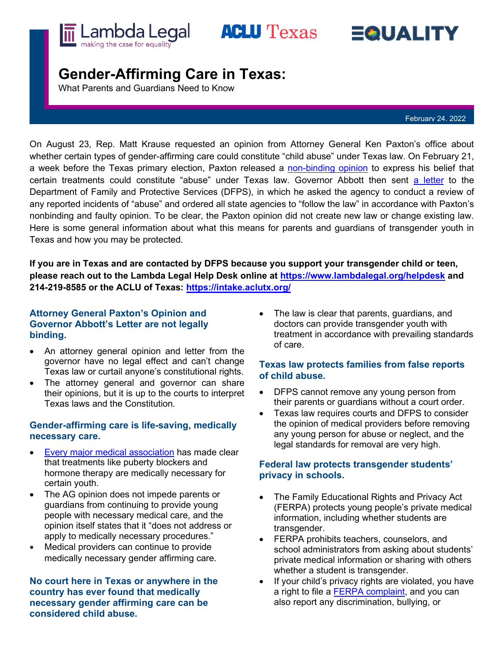





# **Gender-Affirming Care in Texas:**

What Parents and Guardians Need to Know

February 24, 2022

On August 23, Rep. Matt Krause requested an opinion from Attorney General Ken Paxton's office about whether certain types of gender-affirming care could constitute "child abuse" under Texas law. On February 21, a week before the Texas primary election, Paxton released a [non-binding opinion](https://texasattorneygeneral.gov/sites/default/files/global/KP-0401.pdf) to express his belief that certain treatments could constitute "abuse" under Texas law. Governor Abbott then sent [a letter](https://gov.texas.gov/uploads/files/press/O-MastersJaime202202221358.pdf) to the Department of Family and Protective Services (DFPS), in which he asked the agency to conduct a review of any reported incidents of "abuse" and ordered all state agencies to "follow the law" in accordance with Paxton's nonbinding and faulty opinion. To be clear, the Paxton opinion did not create new law or change existing law. Here is some general information about what this means for parents and guardians of transgender youth in Texas and how you may be protected.

**If you are in Texas and are contacted by DFPS because you support your transgender child or teen, please reach out to the Lambda Legal Help Desk online at <https://www.lambdalegal.org/helpdesk> and 214-219-8585 or the ACLU of Texas:<https://intake.aclutx.org/>**

## **Attorney General Paxton's Opinion and Governor Abbott's Letter are not legally binding.**

- An attorney general opinion and letter from the governor have no legal effect and can't change Texas law or curtail anyone's constitutional rights.
- The attorney general and governor can share their opinions, but it is up to the courts to interpret Texas laws and the Constitution.

# **Gender-affirming care is life-saving, medically necessary care.**

- [Every major medical association](https://www.aclu.org/news/lgbtq-rights/doctors-agree-gender-affirming-care-is-life-saving-care/) has made clear that treatments like puberty blockers and hormone therapy are medically necessary for certain youth.
- The AG opinion does not impede parents or guardians from continuing to provide young people with necessary medical care, and the opinion itself states that it "does not address or apply to medically necessary procedures."
- Medical providers can continue to provide medically necessary gender affirming care.

**No court here in Texas or anywhere in the country has ever found that medically necessary gender affirming care can be considered child abuse.**

The law is clear that parents, guardians, and doctors can provide transgender youth with treatment in accordance with prevailing standards of care.

## **Texas law protects families from false reports of child abuse.**

- DFPS cannot remove any young person from their parents or guardians without a court order.
- Texas law requires courts and DFPS to consider the opinion of medical providers before removing any young person for abuse or neglect, and the legal standards for removal are very high.

## **Federal law protects transgender students' privacy in schools.**

- The Family Educational Rights and Privacy Act (FERPA) protects young people's private medical information, including whether students are transgender.
- FERPA prohibits teachers, counselors, and school administrators from asking about students' private medical information or sharing with others whether a student is transgender.
- If your child's privacy rights are violated, you have a right to file a **FERPA** complaint, and you can also report any discrimination, bullying, or